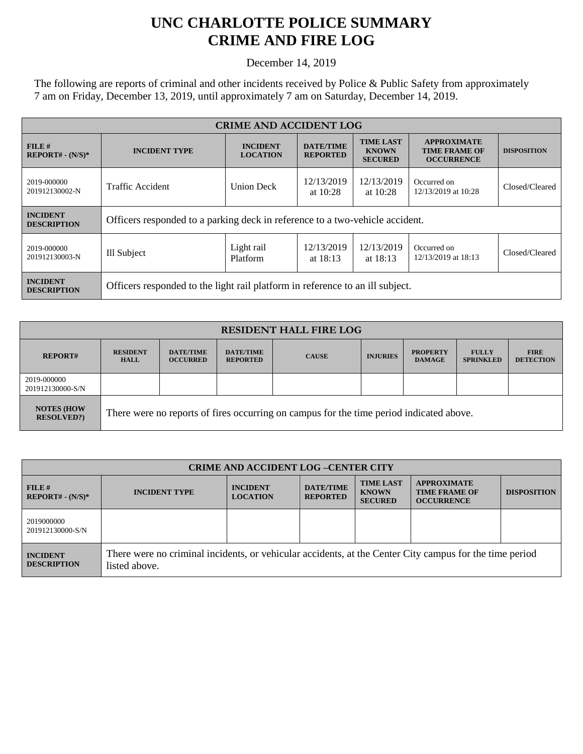## **UNC CHARLOTTE POLICE SUMMARY CRIME AND FIRE LOG**

December 14, 2019

The following are reports of criminal and other incidents received by Police & Public Safety from approximately 7 am on Friday, December 13, 2019, until approximately 7 am on Saturday, December 14, 2019.

| <b>CRIME AND ACCIDENT LOG</b>         |                                                                               |                                    |                                     |                                                    |                                                                 |                    |
|---------------------------------------|-------------------------------------------------------------------------------|------------------------------------|-------------------------------------|----------------------------------------------------|-----------------------------------------------------------------|--------------------|
| FILE H<br>$REPORT# - (N/S)*$          | <b>INCIDENT TYPE</b>                                                          | <b>INCIDENT</b><br><b>LOCATION</b> | <b>DATE/TIME</b><br><b>REPORTED</b> | <b>TIME LAST</b><br><b>KNOWN</b><br><b>SECURED</b> | <b>APPROXIMATE</b><br><b>TIME FRAME OF</b><br><b>OCCURRENCE</b> | <b>DISPOSITION</b> |
| 2019-000000<br>201912130002-N         | Traffic Accident                                                              | <b>Union Deck</b>                  | 12/13/2019<br>at $10:28$            | 12/13/2019<br>at $10:28$                           | Occurred on<br>12/13/2019 at 10:28                              | Closed/Cleared     |
| <b>INCIDENT</b><br><b>DESCRIPTION</b> | Officers responded to a parking deck in reference to a two-vehicle accident.  |                                    |                                     |                                                    |                                                                 |                    |
| 2019-000000<br>201912130003-N         | Ill Subject                                                                   | Light rail<br>Platform             | 12/13/2019<br>at $18:13$            | 12/13/2019<br>at $18:13$                           | Occurred on<br>12/13/2019 at 18:13                              | Closed/Cleared     |
| <b>INCIDENT</b><br><b>DESCRIPTION</b> | Officers responded to the light rail platform in reference to an ill subject. |                                    |                                     |                                                    |                                                                 |                    |

| <b>RESIDENT HALL FIRE LOG</b>         |                                                                                         |                                     |                                     |              |                 |                                  |                                  |                                 |
|---------------------------------------|-----------------------------------------------------------------------------------------|-------------------------------------|-------------------------------------|--------------|-----------------|----------------------------------|----------------------------------|---------------------------------|
| <b>REPORT#</b>                        | <b>RESIDENT</b><br><b>HALL</b>                                                          | <b>DATE/TIME</b><br><b>OCCURRED</b> | <b>DATE/TIME</b><br><b>REPORTED</b> | <b>CAUSE</b> | <b>INJURIES</b> | <b>PROPERTY</b><br><b>DAMAGE</b> | <b>FULLY</b><br><b>SPRINKLED</b> | <b>FIRE</b><br><b>DETECTION</b> |
| 2019-000000<br>201912130000-S/N       |                                                                                         |                                     |                                     |              |                 |                                  |                                  |                                 |
| <b>NOTES (HOW</b><br><b>RESOLVED?</b> | There were no reports of fires occurring on campus for the time period indicated above. |                                     |                                     |              |                 |                                  |                                  |                                 |

| <b>CRIME AND ACCIDENT LOG-CENTER CITY</b> |                                                                                                                          |                                    |                                     |                                                    |                                                                 |                    |
|-------------------------------------------|--------------------------------------------------------------------------------------------------------------------------|------------------------------------|-------------------------------------|----------------------------------------------------|-----------------------------------------------------------------|--------------------|
| FILE H<br>$REPORT# - (N/S)*$              | <b>INCIDENT TYPE</b>                                                                                                     | <b>INCIDENT</b><br><b>LOCATION</b> | <b>DATE/TIME</b><br><b>REPORTED</b> | <b>TIME LAST</b><br><b>KNOWN</b><br><b>SECURED</b> | <b>APPROXIMATE</b><br><b>TIME FRAME OF</b><br><b>OCCURRENCE</b> | <b>DISPOSITION</b> |
| 2019000000<br>201912130000-S/N            |                                                                                                                          |                                    |                                     |                                                    |                                                                 |                    |
| <b>INCIDENT</b><br><b>DESCRIPTION</b>     | There were no criminal incidents, or vehicular accidents, at the Center City campus for the time period<br>listed above. |                                    |                                     |                                                    |                                                                 |                    |